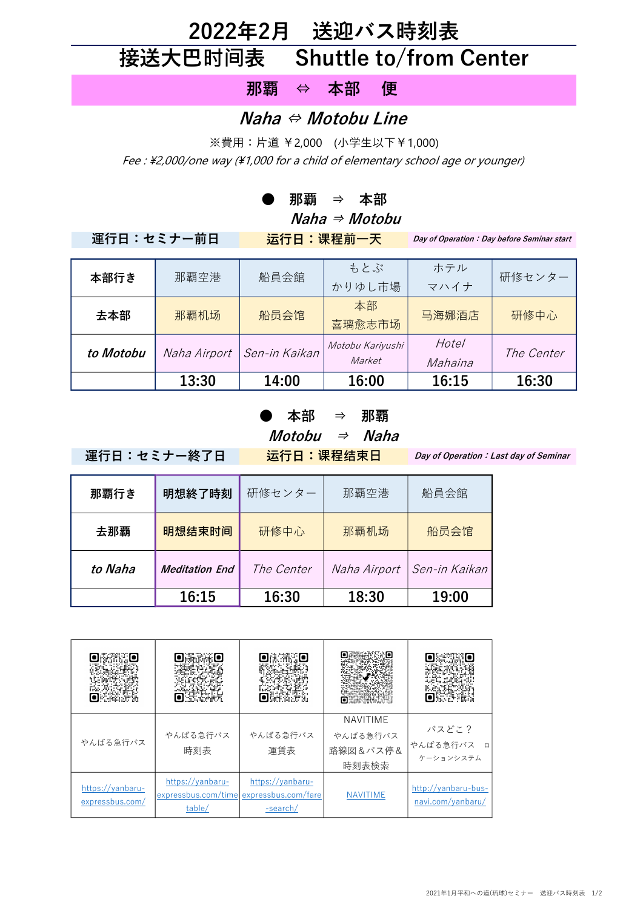## 2022年2月 送迎バス時刻表 接送大巴时间表 Shuttle to/from Center

那覇 ⇔ 本部 便

## Naha ⇔ Motobu Line

※費用:片道 ¥2,000 (小学生以下¥1,000)

Fee : \2,000/one way (\1,000 for a child of elementary school age or younger)

● 那覇 ⇒ 本部

 $Naha \Rightarrow Motobu$ 

運行日:セミナー前日 运行日:课程前一天

Day of Operation: Day before Seminar start

| 本部行き      | 那覇空港         | 船員会館          | もとぶ<br>かりゆし市場              | ホテル<br>マハイナ             | 研修センター     |
|-----------|--------------|---------------|----------------------------|-------------------------|------------|
| 去本部       | 那覇机场         | 船员会馆          | 本部<br>喜璃愈志市场               | 马海娜酒店                   | 研修中心       |
| to Motobu | Naha Airport | Sen-in Kaikan | Motobu Kariyushi<br>Market | <b>Hotel</b><br>Mahaina | The Center |
|           | 13:30        | 14:00         | 16:00                      | 16:15                   | 16:30      |

## ● 本部 ⇒ 那覇  $$

運行日:セミナー終了日 运行日:课程结束日

Day of Operation: Last day of Seminar

| 那覇行き    | 明想終了時刻                | 研修センター            | 那覇空港         | 船員会館          |
|---------|-----------------------|-------------------|--------------|---------------|
| 去那覇     | 明想结束时间                | 研修中心              | 那覇机场         | 船员会馆          |
| to Naha | <b>Meditation End</b> | <i>The Center</i> | Naha Airport | Sen-in Kaikan |
|         | 16:15                 | 16:30             | 18:30        | 19:00         |

| やんばる急行バス                            | やんばる急行バス<br>時刻表                                   | やんばる急行バス<br>運賃表                                     | <b>NAVITIME</b><br>やんばる急行バス<br>路線図&バス停&<br>時刻表検索 | バスどこ?<br>やんばる急行バス<br>口<br>ケーションシステム      |
|-------------------------------------|---------------------------------------------------|-----------------------------------------------------|--------------------------------------------------|------------------------------------------|
| https://yanbaru-<br>expressbus.com/ | https://yanbaru-<br>expressbus.com/time<br>table/ | https://yanbaru-<br>expressbus.com/fare<br>-search/ | <b>NAVITIME</b>                                  | http://yanbaru-bus-<br>navi.com/yanbaru/ |